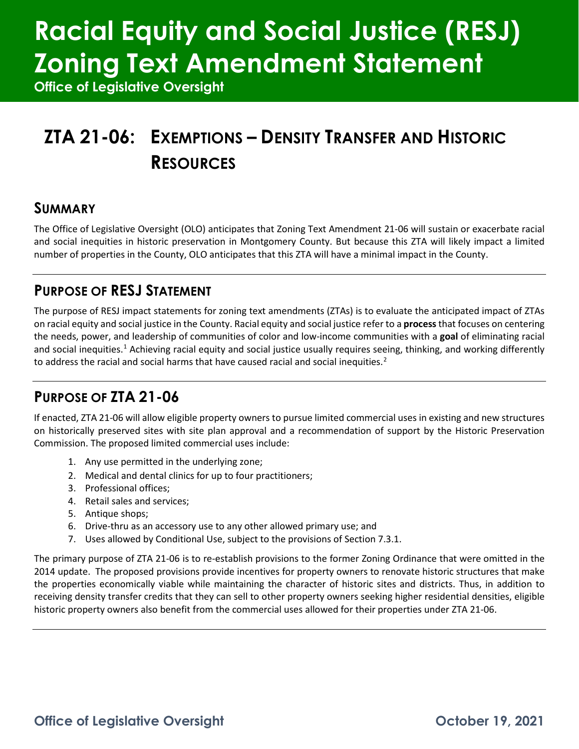# **Racial Equity and Social Justice (RESJ) Zoning Text Amendment Statement**

**Office of Legislative Oversight**

## **ZTA 21-06: EXEMPTIONS – DENSITY TRANSFER AND HISTORIC RESOURCES**

### **SUMMARY**

The Office of Legislative Oversight (OLO) anticipates that Zoning Text Amendment 21-06 will sustain or exacerbate racial and social inequities in historic preservation in Montgomery County. But because this ZTA will likely impact a limited number of properties in the County, OLO anticipates that this ZTA will have a minimal impact in the County.

### **PURPOSE OF RESJ STATEMENT**

The purpose of RESJ impact statements for zoning text amendments (ZTAs) is to evaluate the anticipated impact of ZTAs on racial equity and social justice in the County. Racial equity and social justice refer to a **process**that focuses on centering the needs, power, and leadership of communities of color and low-income communities with a **goal** of eliminating racial and social inequities.<sup>[1](#page-2-0)</sup> Achieving racial equity and social justice usually requires seeing, thinking, and working differently to address the racial and social harms that have caused racial and social inequities.<sup>[2](#page-2-1)</sup>

## **PURPOSE OF ZTA 21-06**

If enacted, ZTA 21-06 will allow eligible property owners to pursue limited commercial uses in existing and new structures on historically preserved sites with site plan approval and a recommendation of support by the Historic Preservation Commission. The proposed limited commercial uses include:

- 1. Any use permitted in the underlying zone;
- 2. Medical and dental clinics for up to four practitioners;
- 3. Professional offices;
- 4. Retail sales and services;
- 5. Antique shops;
- 6. Drive-thru as an accessory use to any other allowed primary use; and
- 7. Uses allowed by Conditional Use, subject to the provisions of Section 7.3.1.

The primary purpose of ZTA 21-06 is to re-establish provisions to the former Zoning Ordinance that were omitted in the 2014 update. The proposed provisions provide incentives for property owners to renovate historic structures that make the properties economically viable while maintaining the character of historic sites and districts. Thus, in addition to receiving density transfer credits that they can sell to other property owners seeking higher residential densities, eligible historic property owners also benefit from the commercial uses allowed for their properties under ZTA 21-06.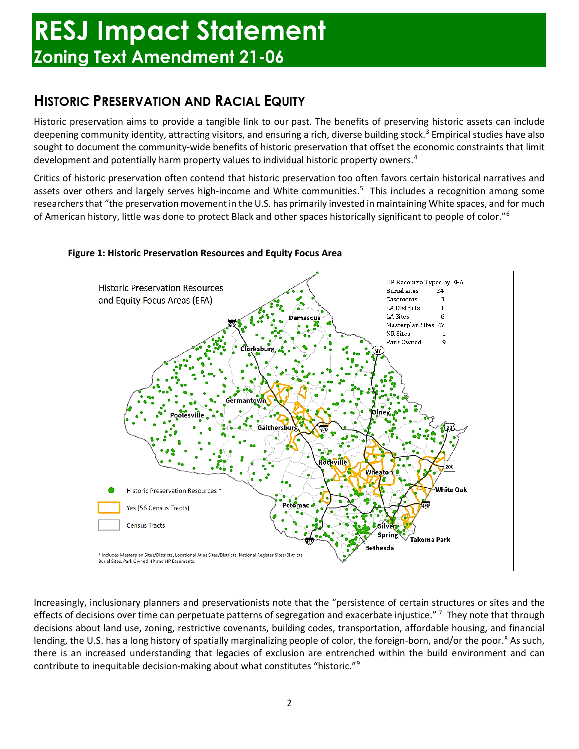## **HISTORIC PRESERVATION AND RACIAL EQUITY**

Historic preservation aims to provide a tangible link to our past. The benefits of preserving historic assets can include deepening community identity, attracting visitors, and ensuring a rich, diverse building stock.<sup>[3](#page-3-0)</sup> Empirical studies have also sought to document the community-wide benefits of historic preservation that offset the economic constraints that limit development and potentially harm property values to individual historic property owners.[4](#page-3-1)

Critics of historic preservation often contend that historic preservation too often favors certain historical narratives and assets over others and largely serves high-income and White communities.<sup>[5](#page-3-2)</sup> This includes a recognition among some researchers that "the preservation movement in the U.S. has primarily invested in maintaining White spaces, and for much of American history, little was done to protect Black and other spaces historically significant to people of color.["6](#page-3-3)



#### **Figure 1: Historic Preservation Resources and Equity Focus Area**

Increasingly, inclusionary planners and preservationists note that the "persistence of certain structures or sites and the effects of decisions over time can perpetuate patterns of segregation and exacerbate injustice."<sup>[7](#page-3-4)</sup> They note that through decisions about land use, zoning, restrictive covenants, building codes, transportation, affordable housing, and financial lending, the U.S. has a long history of spatially marginalizing people of color, the foreign-born, and/or the poor.<sup>[8](#page-3-5)</sup> As such, there is an increased understanding that legacies of exclusion are entrenched within the build environment and can contribute to inequitable decision-making about what constitutes "historic."[9](#page-3-6)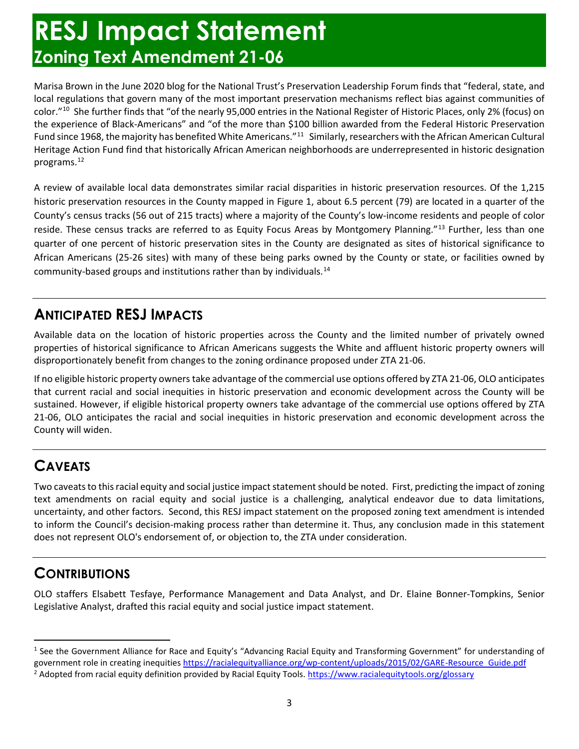## **RESJ Impact Statement Zoning Text Amendment 21-06**

Marisa Brown in the June 2020 blog for the National Trust's Preservation Leadership Forum finds that "federal, state, and local regulations that govern many of the most important preservation mechanisms reflect bias against communities of color.["10](#page-3-7) She further finds that "of the nearly 95,000 entries in the National Register of Historic Places, only 2% (focus) on the experience of Black-Americans" and "of the more than \$100 billion awarded from the Federal Historic Preservation Fund since 1968, the majority has benefited White Americans."<sup>[11](#page-3-8)</sup> Similarly, researchers with the African American Cultural Heritage Action Fund find that historically African American neighborhoods are underrepresented in historic designation programs.[12](#page-3-9)

A review of available local data demonstrates similar racial disparities in historic preservation resources. Of the 1,215 historic preservation resources in the County mapped in Figure 1, about 6.5 percent (79) are located in a quarter of the County's census tracks (56 out of 215 tracts) where a majority of the County's low-income residents and people of color reside. These census tracks are referred to as Equity Focus Areas by Montgomery Planning."<sup>[13](#page-3-10)</sup> Further, less than one quarter of one percent of historic preservation sites in the County are designated as sites of historical significance to African Americans (25-26 sites) with many of these being parks owned by the County or state, or facilities owned by community-based groups and institutions rather than by individuals.[14](#page-3-11)

## **ANTICIPATED RESJ IMPACTS**

Available data on the location of historic properties across the County and the limited number of privately owned properties of historical significance to African Americans suggests the White and affluent historic property owners will disproportionately benefit from changes to the zoning ordinance proposed under ZTA 21-06.

If no eligible historic property owners take advantage of the commercial use options offered by ZTA 21-06, OLO anticipates that current racial and social inequities in historic preservation and economic development across the County will be sustained. However, if eligible historical property owners take advantage of the commercial use options offered by ZTA 21-06, OLO anticipates the racial and social inequities in historic preservation and economic development across the County will widen.

## **CAVEATS**

Two caveats to this racial equity and social justice impact statement should be noted. First, predicting the impact of zoning text amendments on racial equity and social justice is a challenging, analytical endeavor due to data limitations, uncertainty, and other factors. Second, this RESJ impact statement on the proposed zoning text amendment is intended to inform the Council's decision-making process rather than determine it. Thus, any conclusion made in this statement does not represent OLO's endorsement of, or objection to, the ZTA under consideration.

## **CONTRIBUTIONS**

OLO staffers Elsabett Tesfaye, Performance Management and Data Analyst, and Dr. Elaine Bonner-Tompkins, Senior Legislative Analyst, drafted this racial equity and social justice impact statement.

<span id="page-2-1"></span><span id="page-2-0"></span><sup>&</sup>lt;sup>1</sup> See the Government Alliance for Race and Equity's "Advancing Racial Equity and Transforming Government" for understanding of government role in creating inequitie[s https://racialequityalliance.org/wp-content/uploads/2015/02/GARE-Resource\\_Guide.pdf](https://racialequityalliance.org/wp-content/uploads/2015/02/GARE-Resource_Guide.pdf) <sup>2</sup> Adopted from racial equity definition provided by Racial Equity Tools[. https://www.racialequitytools.org/glossary](https://www.racialequitytools.org/glossary)